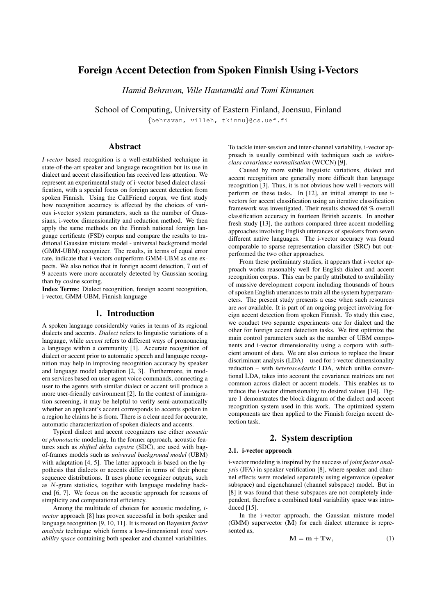# Foreign Accent Detection from Spoken Finnish Using i-Vectors

*Hamid Behravan, Ville Hautamaki and Tomi Kinnunen ¨*

School of Computing, University of Eastern Finland, Joensuu, Finland

{behravan, villeh, tkinnu}@cs.uef.fi

# Abstract

*I-vector* based recognition is a well-established technique in state-of-the-art speaker and language recognition but its use in dialect and accent classification has received less attention. We represent an experimental study of i-vector based dialect classification, with a special focus on foreign accent detection from spoken Finnish. Using the CallFriend corpus, we first study how recognition accuracy is affected by the choices of various i-vector system parameters, such as the number of Gaussians, i-vector dimensionality and reduction method. We then apply the same methods on the Finnish national foreign language certificate (FSD) corpus and compare the results to traditional Gaussian mixture model - universal background model (GMM-UBM) recognizer. The results, in terms of equal error rate, indicate that i-vectors outperform GMM-UBM as one expects. We also notice that in foreign accent detection, 7 out of 9 accents were more accurately detected by Gaussian scoring than by cosine scoring.

Index Terms: Dialect recognition, foreign accent recognition, i-vector, GMM-UBM, Finnish language

# 1. Introduction

A spoken language considerably varies in terms of its regional dialects and accents. *Dialect* refers to linguistic variations of a language, while *accent* refers to different ways of pronouncing a language within a community [1]. Accurate recognition of dialect or accent prior to automatic speech and language recognition may help in improving recognition accuracy by speaker and language model adaptation [2, 3]. Furthermore, in modern services based on user-agent voice commands, connecting a user to the agents with similar dialect or accent will produce a more user-friendly environment [2]. In the context of immigration screening, it may be helpful to verify semi-automatically whether an applicant's accent corresponds to accents spoken in a region he claims he is from. There is a clear need for accurate, automatic characterization of spoken dialects and accents.

Typical dialect and accent recognizers use either *acoustic* or *phonotactic* modeling. In the former approach, acoustic features such as *shifted delta cepstra* (SDC), are used with bagof-frames models such as *universal background model* (UBM) with adaptation [4, 5]. The latter approach is based on the hypothesis that dialects or accents differ in terms of their phone sequence distributions. It uses phone recognizer outputs, such as N-gram statistics, together with language modeling backend [6, 7]. We focus on the acoustic approach for reasons of simplicity and computational efficiency.

Among the multitude of choices for acoustic modeling, *ivector* approach [8] has proven successful in both speaker and language recognition [9, 10, 11]. It is rooted on Bayesian *factor analysis* technique which forms a low-dimensional *total variability space* containing both speaker and channel variabilities. To tackle inter-session and inter-channel variability, i-vector approach is usually combined with techniques such as *withinclass covariance normalisation* (WCCN) [9].

Caused by more subtle linguistic variations, dialect and accent recognition are generally more difficult than language recognition [3]. Thus, it is not obvious how well i-vectors will perform on these tasks. In [12], an initial attempt to use ivectors for accent classification using an iterative classification framework was investigated. Their results showed 68 % overall classification accuracy in fourteen British accents. In another fresh study [13], the authors compared three accent modelling approaches involving English utterances of speakers from seven different native languages. The i-vector accuracy was found comparable to sparse representation classifier (SRC) but outperformed the two other approaches.

From these preliminary studies, it appears that i-vector approach works reasonably well for English dialect and accent recognition corpus. This can be partly attributed to availability of massive development corpora including thousands of hours of spoken English utterances to train all the system hyperparameters. The present study presents a case when such resources are *not* available. It is part of an ongoing project involving foreign accent detection from spoken Finnish. To study this case, we conduct two separate experiments one for dialect and the other for foreign accent detection tasks. We first optimize the main control parameters such as the number of UBM components and i-vector dimensionality using a corpora with sufficient amount of data. We are also curious to replace the linear discriminant analysis (LDA) – used for i-vector dimensionality reduction – with *heteroscedastic* LDA, which unlike conventional LDA, takes into account the covariance matrices are not common across dialect or accent models. This enables us to reduce the i-vector dimensionality to desired values [14]. Figure 1 demonstrates the block diagram of the dialect and accent recognition system used in this work. The optimized system components are then applied to the Finnish foreign accent detection task.

# 2. System description

### 2.1. i-vector approach

i-vector modeling is inspired by the success of *joint factor analysis* (JFA) in speaker verification [8], where speaker and channel effects were modeled separately using eigenvoice (speaker subspace) and eigenchannel (channel subspace) model. But in [8] it was found that these subspaces are not completely independent, therefore a combined total variability space was introduced [15].

In the i-vector approach, the Gaussian mixture model (GMM) supervector (M) for each dialect utterance is represented as,

$$
\mathbf{M} = \mathbf{m} + \mathbf{Tw},\tag{1}
$$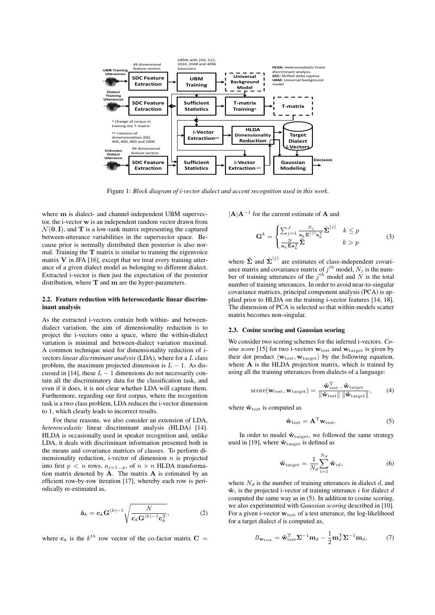

Figure 1: *Block diagram of i-vector dialect and accent recognition used in this work.*

where  $m$  is dialect- and channel-independent UBM supervector, the i-vector w is an independent random vector drawn from  $\mathcal{N}(\mathbf{0}, \mathbf{I})$ , and **T** is a low-rank matrix representing the captured between-utterance variabilities in the supervector space. Because prior is normally distributed then posterior is also normal. Training the  $T$  matrix is similar to training the eigenvoice matrix  $V$  in JFA [16], except that we treat every training utterance of a given dialect model as belonging to different dialect. Extracted i-vector is then just the expectation of the posterior distribution, where  $T$  and  $m$  are the hyper-parameters.

### 2.2. Feature reduction with heteroscedastic linear discriminant analysis

As the extracted i-vectors contain both within- and betweendialect variation, the aim of dimensionality reduction is to project the i-vectors onto a space, where the within-dialect variation is minimal and between-dialect variation maximal. A common technique used for dimensionality reduction of ivectors *linear discriminant analysis* (LDA), where for a L class problem, the maximum projected dimension is  $L - 1$ . As discussed in [14], these  $L - 1$  dimensions do not necessarily contain all the discriminatory data for the classification task, and even if it does, it is not clear whether LDA will capture them. Furthermore, regarding our first corpus, where the recognition task is a two class problem, LDA reduces the i-vector dimension to 1, which clearly leads to incorrect results.

For these reasons, we also consider an extension of LDA, *heteroscedastic* linear discriminant analysis (HLDA) [14]. HLDA is occasionally used in speaker recognition and, unlike LDA, it deals with discriminant information presented both in the means and covariance matrices of classes. To perform dimensionality reduction, i-vector of dimension  $n$  is projected into first  $p < n$  rows,  $a_{j=1...p}$ , of  $n \times n$  HLDA transformation matrix denoted by  $A$ . The matrix  $A$  is estimated by an efficient row-by-row iteration [17], whereby each row is periodically re-estimated as,

$$
\hat{\mathbf{a}}_k = \mathbf{c}_k \mathbf{G}^{(k)-1} \sqrt{\frac{N}{\mathbf{c}_k \mathbf{G}^{(k)-1} \mathbf{c}_k^{\mathrm{T}}}},\tag{2}
$$

where  $c_k$  is the  $k^{th}$  row vector of the co-factor matrix  $C =$ 

 $|A|A^{-1}$  for the current estimate of A and

$$
\mathbf{G}^{k} = \begin{cases} \sum_{j=1}^{J} \frac{N_{j}}{\mathbf{a}_{k} \hat{\Sigma}^{(j)} \mathbf{a}_{k}^{\mathrm{T}}} \hat{\Sigma}^{(j)} & k \leq p \\ \frac{N}{\mathbf{a}_{k} \hat{\Sigma} \mathbf{a}_{k}^{\mathrm{T}}} \hat{\Sigma} & k > p \end{cases}
$$
(3)

where  $\hat{\Sigma}$  and  $\hat{\Sigma}^{(j)}$  are estimates of class-independent covariance matrix and covariance matrix of  $j^{th}$  model,  $N_j$  is the number of training utterances of the  $j^{th}$  model and N is the total number of training utterances. In order to avoid near-to-singular covariance matrices, principal component analysis (PCA) is applied prior to HLDA on the training i-vector features [14, 18]. The dimension of PCA is selected so that within-models scatter matrix becomes non-singular.

### 2.3. Cosine scoring and Gaussian scoring

We consider two scoring schemes for the inferred i-vectors. *Co*sine score [15] for two i-vectors  $w_{\text{test}}$  and  $w_{\text{target}}$  is given by their dot product  $\langle w_{\text{test}}, w_{\text{target}} \rangle$  by the following equation, where A is the HLDA projection matrix, which is trained by using all the training utterances from dialects of a language:

$$
\text{score}(\mathbf{w}_{\text{test}}, \mathbf{w}_{\text{target}}) = \frac{\hat{\mathbf{w}}_{\text{test}}^{\text{T}} \cdot \hat{\mathbf{w}}_{\text{target}}}{\|\hat{\mathbf{w}}_{\text{test}}\| \|\hat{\mathbf{w}}_{\text{target}}\|},\qquad(4)
$$

where  $\hat{\mathbf{w}}_{\text{test}}$  is computed as

$$
\hat{\mathbf{w}}_{\text{test}} = \mathbf{A}^{\text{T}} \mathbf{w}_{\text{test}}.
$$
 (5)

In order to model  $\mathbf{\hat{w}}_{\text{target}}$ , we followed the same strategy used in [19], where  $\hat{\mathbf{w}}_{\text{target}}$  is defined as

$$
\hat{\mathbf{w}}_{\text{target}} = \frac{1}{N_d} \sum_{i=1}^{N_d} \hat{\mathbf{w}}_{id},\tag{6}
$$

where  $N_d$  is the number of training utterances in dialect d, and  $\hat{\mathbf{w}}_i$  is the projected i-vector of training utterance i for dialect d computed the same way as in (5). In addition to cosine scoring, we also experimented with *Gaussian scoring* described in [10]. For a given i-vector  $\mathbf{w}_{\text{test}}$  of a test utterance, the log-likelihood for a target dialect  $d$  is computed as,

$$
ll_{\mathbf{w}_{\text{test}}} = \hat{\mathbf{w}}_{\text{test}}^{\text{T}} \boldsymbol{\Sigma}^{-1} \mathbf{m}_d - \frac{1}{2} \mathbf{m}_d^{\text{T}} \boldsymbol{\Sigma}^{-1} \mathbf{m}_d, \tag{7}
$$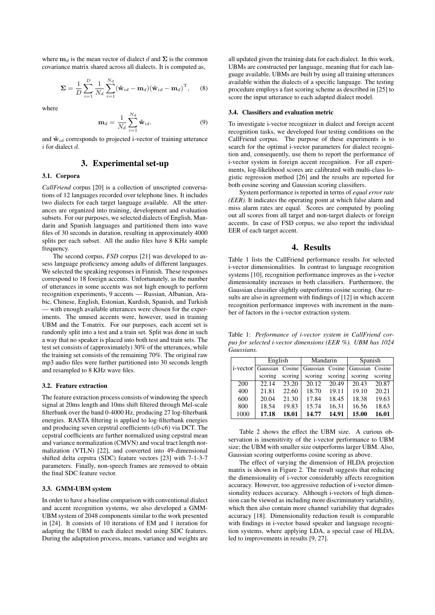where  $m_d$  is the mean vector of dialect d and  $\Sigma$  is the common covariance matrix shared across all dialects. It is computed as,

$$
\mathbf{\Sigma} = \frac{1}{D} \sum_{i=1}^{D} \frac{1}{N_d} \sum_{i=1}^{N_d} (\hat{\mathbf{w}}_{id} - \mathbf{m}_d) (\hat{\mathbf{w}}_{id} - \mathbf{m}_d)^{\mathrm{T}}, \quad (8)
$$

where

$$
\mathbf{m}_d = \frac{1}{N_d} \sum_{i=1}^{N_d} \hat{\mathbf{w}}_{id}.
$$
 (9)

and  $\mathbf{\hat{w}}_{id}$  corresponds to projected i-vector of training utterance  $i$  for dialect  $d$ .

# 3. Experimental set-up

#### 3.1. Corpora

*CallFriend* corpus [20] is a collection of unscripted conversations of 12 languages recorded over telephone lines. It includes two dialects for each target language available. All the utterances are organized into training, development and evaluation subsets. For our purposes, we selected dialects of English, Mandarin and Spanish languages and partitioned them into wave files of 30 seconds in duration, resulting in approximately 4000 splits per each subset. All the audio files have 8 KHz sample frequency.

The second corpus, *FSD* corpus [21] was developed to assess language proficiency among adults of different languages. We selected the speaking responses in Finnish. These responses correspond to 18 foreign accents. Unfortunately, as the number of utterances in some accents was not high enough to perform recognition experiments, 9 accents — Russian, Albanian, Arabic, Chinese, English, Estonian, Kurdish, Spanish, and Turkish — with enough available utterances were chosen for the experiments. The unused accents were, however, used in training UBM and the T-matrix. For our purposes, each accent set is randomly split into a test and a train set. Split was done in such a way that no speaker is placed into both test and train sets. The test set consists of (approximately) 30% of the utterances, while the training set consists of the remaining 70%. The original raw mp3 audio files were further partitioned into 30 seconds length and resampled to 8 KHz wave files.

#### 3.2. Feature extraction

The feature extraction process consists of windowing the speech signal at 20ms length and 10ms shift filtered through Mel-scale filterbank over the band 0-4000 Hz, producing 27 log-filterbank energies. RASTA filtering is applied to log-filterbank energies and producing seven cepstral coefficients (c0-c6) via DCT. The cepstral coefficients are further normalized using cepstral mean and variance normalization (CMVN) and vocal tract length normalization (VTLN) [22], and converted into 49-dimensional shifted delta cepstra (SDC) feature vectors [23] with 7-1-3-7 parameters. Finally, non-speech frames are removed to obtain the final SDC feature vector.

#### 3.3. GMM-UBM system

In order to have a baseline comparison with conventional dialect and accent recognition systems, we also developed a GMM-UBM system of 2048 components similar to the work presented in [24]. It consists of 10 iterations of EM and 1 iteration for adapting the UBM to each dialect model using SDC features. During the adaptation process, means, variance and weights are

all updated given the training data for each dialect. In this work, UBMs are constructed per language, meaning that for each language available, UBMs are built by using all training utterances available within the dialects of a specific language. The testing procedure employs a fast scoring scheme as described in [25] to score the input utterance to each adapted dialect model.

#### 3.4. Classifiers and evaluation metric

To investigate i-vector recognizer in dialect and foreign accent recognition tasks, we developed four testing conditions on the CallFriend corpus. The purpose of these experiments is to search for the optimal i-vector parameters for dialect recognition and, consequently, use them to report the performance of i-vector system in foreign accent recognition. For all experiments, log-likelihood scores are calibrated with multi-class logistic regression method [26] and the results are reported for both cosine scoring and Gaussian scoring classifiers.

System performance is reported in terms of *equal error rate (EER)*. It indicates the operating point at which false alarm and miss alarm rates are equal. Scores are computed by pooling out all scores from all target and non-target dialects or foreign accents. In case of FSD corpus, we also report the individual EER of each target accent.

# 4. Results

Table 1 lists the CallFriend performance results for selected i-vector dimensionalities. In contrast to language recognition systems [10], recognition performance improves as the i-vector dimensionality increases in both classifiers. Furthermore, the Gaussian classifier slightly outperforms cosine scoring. Our results are also in agreement with findings of [12] in which accent recognition performance improves with increment in the number of factors in the i-vector extraction system.

Table 1: *Performance of i-vector system in CallFriend corpus for selected i-vector dimensions (EER %). UBM has 1024 Gaussians.*

|             |         | English |                                 | Mandarin |                 | Spanish |  |
|-------------|---------|---------|---------------------------------|----------|-----------------|---------|--|
| $i$ -vector |         |         | Gaussian Cosine Gaussian Cosine |          | Gaussian Cosine |         |  |
|             | scoring | scoring | scoring                         | scoring  | scoring         | scoring |  |
| 200         | 22.14   | 23.20   | 20.12                           | 20.49    | 20.43           | 20.87   |  |
| 400         | 21.81   | 22.60   | 18.70                           | 19.11    | 19.10           | 20.21   |  |
| 600         | 20.04   | 21.30   | 17.84                           | 18.45    | 18.38           | 19.63   |  |
| 800         | 18.54   | 19.83   | 15.74                           | 16.31    | 16.56           | 18.63   |  |
| 1000        | 17.18   | 18.01   | 14.77                           | 14.91    | 15.00           | 16.01   |  |

Table 2 shows the effect the UBM size. A curious observation is insensitivity of the i-vector performance to UBM size; the UBM with smaller size outperforms larger UBM. Also, Gaussian scoring outperforms cosine scoring as above.

The effect of varying the dimension of HLDA projection matrix is shown in Figure 2. The result suggests that reducing the dimensionality of i-vector considerably affects recognition accuracy. However, too aggressive reduction of i-vector dimensionality reduces accuracy. Although i-vectors of high dimension can be viewed as including more discriminatory variability, which then also contain more channel variability that degrades accuracy [18]. Dimensionality reduction result is comparable with findings in i-vector based speaker and language recognition systems, where applying LDA, a special case of HLDA, led to improvements in results [9, 27].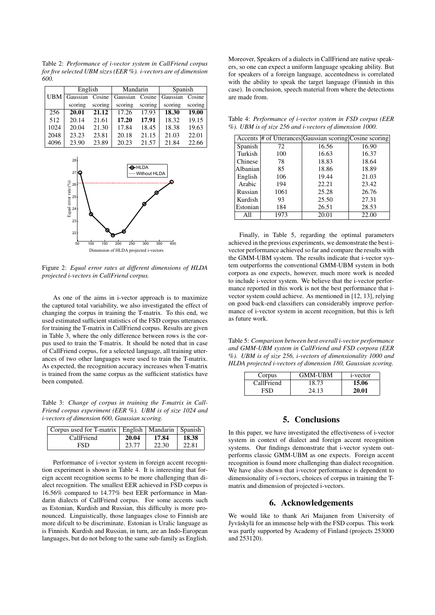Table 2: *Performance of i-vector system in CallFriend corpus for five selected UBM sizes (EER %). i-vectors are of dimension 600.*

|            | English  |         | Mandarin        |         | Spanish         |         |
|------------|----------|---------|-----------------|---------|-----------------|---------|
| <b>UBM</b> | Gaussian | Cosine  | Gaussian Cosine |         | Gaussian Cosine |         |
|            | scoring  | scoring | scoring         | scoring | scoring         | scoring |
| 256        | 20.01    | 21.12   | 17.26           | 17.93   | 18.30           | 19.00   |
| 512        | 20.14    | 21.61   | 17.20           | 17.91   | 18.32           | 19.15   |
| 1024       | 20.04    | 21.30   | 17.84           | 18.45   | 18.38           | 19.63   |
| 2048       | 23.23    | 23.81   | 20.18           | 21.15   | 21.03           | 22.01   |
| 4096       | 23.90    | 23.89   | 20.23           | 21.57   | 21.84           | 22.66   |



Figure 2: *Equal error rates at different dimensions of HLDA projected i-vectors in CallFriend corpus.*

As one of the aims in i-vector approach is to maximize the captured total variability, we also investigated the effect of changing the corpus in training the T-matrix. To this end, we used estimated sufficient statistics of the FSD corpus utterances for training the T-matrix in CallFriend corpus. Results are given in Table 3, where the only difference between rows is the corpus used to train the T-matrix. It should be noted that in case of CallFriend corpus, for a selected language, all training utterances of two other languages were used to train the T-matrix. As expected, the recognition accuracy increases when T-matrix is trained from the same corpus as the sufficient statistics have been computed.

Table 3: *Change of corpus in training the T-matrix in Call-Friend corpus experiment (EER %). UBM is of size 1024 and i-vectors of dimension 600, Gaussian scoring.*

| Corpus used for T-matrix   English   Mandarin   Spanish |       |       |       |
|---------------------------------------------------------|-------|-------|-------|
| CallFriend                                              | 20.04 | 17.84 | 18.38 |
| FSD                                                     | 23.77 | 22.30 | 22.81 |

Performance of i-vector system in foreign accent recognition experiment is shown in Table 4. It is interesting that foreign accent recognition seems to be more challenging than dialect recognition. The smallest EER achieved in FSD corpus is 16.56% compared to 14.77% best EER performance in Mandarin dialects of CallFriend corpus. For some accents such as Estonian, Kurdish and Russian, this difficulty is more pronounced. Linguistically, those languages close to Finnish are more difcult to be discriminate. Estonian is Uralic language as is Finnish. Kurdish and Russian, in turn, are an Indo-European languages, but do not belong to the same sub-family as English. Moreover, Speakers of a dialects in CallFriend are native speakers, so one can expect a uniform language speaking ability. But for speakers of a foreign language, accentedness is correlated with the ability to speak the target language (Finnish in this case). In conclusion, speech material from where the detections are made from.

Table 4: *Performance of i-vector system in FSD corpus (EER %). UBM is of size 256 and i-vectors of dimension 1000.*

|          |      | Accents # of Utterances Gaussian scoring Cosine scoring |       |
|----------|------|---------------------------------------------------------|-------|
| Spanish  | 72   | 16.56                                                   | 16.90 |
| Turkish  | 100  | 16.63                                                   | 16.37 |
| Chinese  | 78   | 18.83                                                   | 18.64 |
| Albanian | 85   | 18.86                                                   | 18.89 |
| English  | 106  | 19.44                                                   | 21.03 |
| Arabic   | 194  | 22.21                                                   | 23.42 |
| Russian  | 1061 | 25.28                                                   | 26.76 |
| Kurdish  | 93   | 25.50                                                   | 27.31 |
| Estonian | 184  | 26.51                                                   | 28.53 |
| All      | 1973 | 20.01                                                   | 22.00 |

Finally, in Table 5, regarding the optimal parameters achieved in the previous experiments, we demonstrate the best ivector performance achieved so far and compare the results with the GMM-UBM system. The results indicate that i-vector system outperforms the conventional GMM-UBM system in both corpora as one expects, however, much more work is needed to include i-vector system. We believe that the i-vector performance reported in this work is not the best performance that ivector system could achieve. As mentioned in [12, 13], relying on good back-end classifiers can considerably improve performance of i-vector system in accent recognition, but this is left as future work.

Table 5: *Comparison between best overall i-vector performance and GMM-UBM system in CallFriend and FSD corpora (EER %). UBM is of size 256, i-vectors of dimensionality 1000 and HLDA projected i-vectors of dimension 180, Gaussian scoring.*

| Corpus     | <b>GMM-UBM</b> | <i>i</i> -vector |
|------------|----------------|------------------|
| CallFriend | 18.73          | 15.06            |
| ESD.       | 24.13          | 20.01            |

# 5. Conclusions

In this paper, we have investigated the effectiveness of i-vector system in context of dialect and foreign accent recognition systems. Our findings demonstrate that i-vector system outperforms classic GMM-UBM as one expects. Foreign accent recognition is found more challenging than dialect recognition. We have also shown that i-vector performance is dependent to dimensionality of i-vectors, choices of corpus in training the Tmatrix and dimension of projected i-vectors.

### 6. Acknowledgements

We would like to thank Ari Maijanen from University of Jyväskylä for an immense help with the FSD corpus. This work was partly supported by Academy of Finland (projects 253000 and 253120).